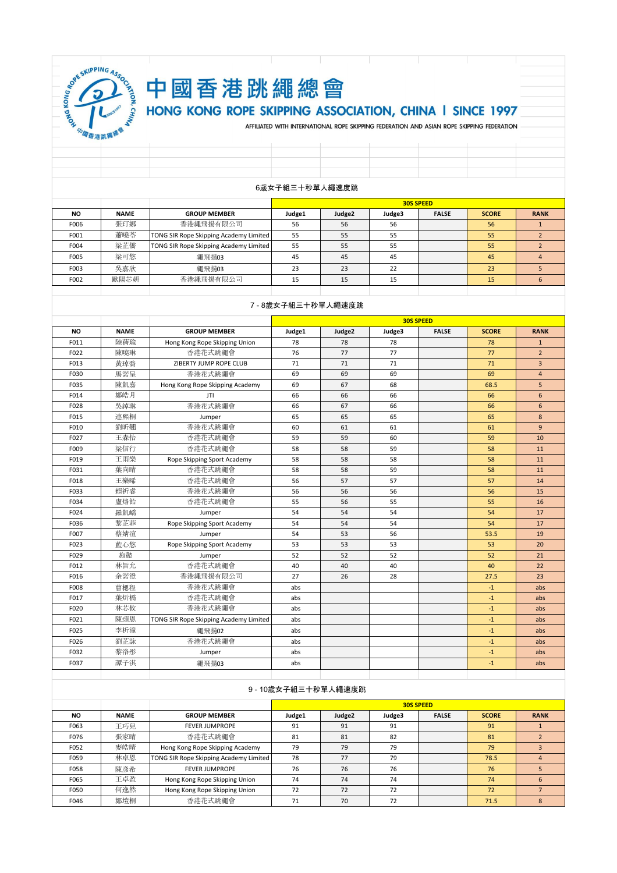

# 中國香港跳繩總會 HONG KONG ROPE SKIPPING ASSOCIATION, CHINA I SINCE 1997

AFFILIATED WITH INTERNATIONAL ROPE SKIPPING FEDERATION AND ASIAN ROPE SKIPPING FEDERATION

| ----           |  |  |  |  |  |  |  |  |  |  |
|----------------|--|--|--|--|--|--|--|--|--|--|
|                |  |  |  |  |  |  |  |  |  |  |
|                |  |  |  |  |  |  |  |  |  |  |
|                |  |  |  |  |  |  |  |  |  |  |
|                |  |  |  |  |  |  |  |  |  |  |
| 6歲女子組三十秒單人繩速度跳 |  |  |  |  |  |  |  |  |  |  |

|           |             |                                               |        | <b>30S SPEED</b>   |        |              |              |             |  |  |
|-----------|-------------|-----------------------------------------------|--------|--------------------|--------|--------------|--------------|-------------|--|--|
| <b>NO</b> | <b>NAME</b> | <b>GROUP MEMBER</b>                           | Judge1 | Judge <sub>2</sub> | Judge3 | <b>FALSE</b> | <b>SCORE</b> | <b>RANK</b> |  |  |
| F006      | 張玎娜         | 香港繩飛揚有限公司                                     | 56     | 56                 | 56     |              | 56           |             |  |  |
| F001      | 蕭曉苓         | TONG SIR Rope Skipping Academy Limited        | 55     | 55                 | 55     |              | 55           |             |  |  |
| F004      | 梁芷僑         | <b>TONG SIR Rope Skipping Academy Limited</b> | 55     | 55                 | 55     |              | 55           |             |  |  |
| F005      | 梁可悠         | 繩飛揚03                                         | 45     | 45                 | 45     |              | 45           |             |  |  |
| F003      | 吳嘉欣         | 繩飛揚03                                         | 23     | 23                 | 22     |              | 23           |             |  |  |
| F002      | 歐陽芯妍        | 香港繩飛揚有限公司                                     | 15     | 15                 | 15     |              | 15           |             |  |  |
|           |             |                                               |        |                    |        |              |              |             |  |  |

# 7 - 8歲女子組三十秒單人繩速度跳

|           |             |                                        | <b>30S SPEED</b> |        |        |              |              |                |  |
|-----------|-------------|----------------------------------------|------------------|--------|--------|--------------|--------------|----------------|--|
| <b>NO</b> | <b>NAME</b> | <b>GROUP MEMBER</b>                    | Judge1           | Judge2 | Judge3 | <b>FALSE</b> | <b>SCORE</b> | <b>RANK</b>    |  |
| F011      | 陸蓓瑜         | Hong Kong Rope Skipping Union          | 78               | 78     | 78     |              | 78           | $\mathbf{1}$   |  |
| F022      | 陳曉琳         | 香港花式跳繩會                                | 76               | 77     | 77     |              | 77           | $\overline{2}$ |  |
| F013      | 黃琸喬         | ZIBERTY JUMP ROPE CLUB                 | 71               | 71     | 71     |              | 71           | $\overline{3}$ |  |
| F030      | 馬諾呈         | 香港花式跳繩會                                | 69               | 69     | 69     |              | 69           | $\overline{4}$ |  |
| F035      | 陳凱嘉         | Hong Kong Rope Skipping Academy        | 69               | 67     | 68     |              | 68.5         | 5              |  |
| F014      | 鄭皓月         | JTI                                    | 66               | 66     | 66     |              | 66           | 6              |  |
| F028      | 吳綽琳         | 香港花式跳繩會                                | 66               | 67     | 66     |              | 66           | 6              |  |
| F015      | 連熙桐         | Jumper                                 | 65               | 65     | 65     |              | 65           | 8              |  |
| F010      | 劉昕翹         | 香港花式跳繩會                                | 60               | 61     | 61     |              | 61           | $\overline{9}$ |  |
| F027      | 王森怡         | 香港花式跳繩會                                | 59               | 59     | 60     |              | 59           | 10             |  |
| F009      | 梁信行         | 香港花式跳繩會                                | 58               | 58     | 59     |              | 58           | 11             |  |
| F019      | 王雨樂         | Rope Skipping Sport Academy            | 58               | 58     | 58     |              | 58           | 11             |  |
| F031      | 葉向晴         | 香港花式跳繩會                                | 58               | 58     | 59     |              | 58           | 11             |  |
| F018      | 王樂晞         | 香港花式跳繩會                                | 56               | 57     | 57     |              | 57           | 14             |  |
| F033      | 賴祈睿         | 香港花式跳繩會                                | 56               | 56     | 56     |              | 56           | 15             |  |
| F034      | 盧烙飴         | 香港花式跳繩會                                | 55               | 56     | 55     |              | 55           | 16             |  |
| F024      | 羅凱嶠         | Jumper                                 | 54               | 54     | 54     |              | 54           | 17             |  |
| F036      | 黎芷菲         | Rope Skipping Sport Academy            | 54               | 54     | 54     |              | 54           | 17             |  |
| F007      | 蔡婧渲         | Jumper                                 | 54               | 53     | 56     |              | 53.5         | 19             |  |
| F023      | 藍心悠         | Rope Skipping Sport Academy            | 53               | 53     | 53     |              | 53           | 20             |  |
| F029      | 施懿          | Jumper                                 | 52               | 52     | 52     |              | 52           | 21             |  |
| F012      | 林旨允         | 香港花式跳繩會                                | 40               | 40     | 40     |              | 40           | 22             |  |
| F016      | 余諾澄         | 香港繩飛揚有限公司                              | 27               | 26     | 28     |              | 27.5         | 23             |  |
| F008      | 曹楒程         | 香港花式跳繩會                                | abs              |        |        |              | $-1$         | abs            |  |
| F017      | 葉炘橋         | 香港花式跳繩會                                | abs              |        |        |              | $-1$         | abs            |  |
| F020      | 林芯攸         | 香港花式跳繩會                                | abs              |        |        |              | $-1$         | abs            |  |
| F021      | 陳頌恩         | TONG SIR Rope Skipping Academy Limited | abs              |        |        |              | $-1$         | abs            |  |
| F025      | 李析潼         | 繩飛揚02                                  | abs              |        |        |              | $-1$         | abs            |  |
| F026      | 劉芷詠         | 香港花式跳繩會                                | abs              |        |        |              | $-1$         | abs            |  |
| F032      | 黎洛彤         | Jumper                                 | abs              |        |        |              | $-1$         | abs            |  |
| F037      | 譚子淇         | 繩飛揚03                                  | abs              |        |        |              | $-1$         | abs            |  |
|           |             |                                        |                  |        |        |              |              |                |  |

# 9 - 10歲女子組三十秒單人繩速度跳

|           |             |                                        | <b>30S SPEED</b> |        |        |              |              |             |  |
|-----------|-------------|----------------------------------------|------------------|--------|--------|--------------|--------------|-------------|--|
| <b>NO</b> | <b>NAME</b> | <b>GROUP MEMBER</b>                    | Judge1           | Judge2 | Judge3 | <b>FALSE</b> | <b>SCORE</b> | <b>RANK</b> |  |
| F063      | 王巧兒         | <b>FEVER JUMPROPE</b>                  | 91               | 91     | 91     |              | 91           |             |  |
| F076      | 張家晴         | 香港花式跳繩會                                | 81               | 81     | 82     |              | 81           |             |  |
| F052      | 麥皓晴         | Hong Kong Rope Skipping Academy        | 79               | 79     | 79     |              | 79           |             |  |
| F059      | 林卓恩         | TONG SIR Rope Skipping Academy Limited | 78               | 77     | 79     |              | 78.5         |             |  |
| F058      | 陳彥希         | <b>FEVER JUMPROPE</b>                  | 76               | 76     | 76     |              | 76           |             |  |
| F065      | 王卓盈         | Hong Kong Rope Skipping Union          | 74               | 74     | 74     |              | 74           | 6           |  |
| F050      | 何逸然         | Hong Kong Rope Skipping Union          | 72               | 72     | 72     |              | 72           |             |  |
| F046      | 鄭塏桐         | 香港花式跳繩會                                | 71               | 70     | 72     |              | 71.5         |             |  |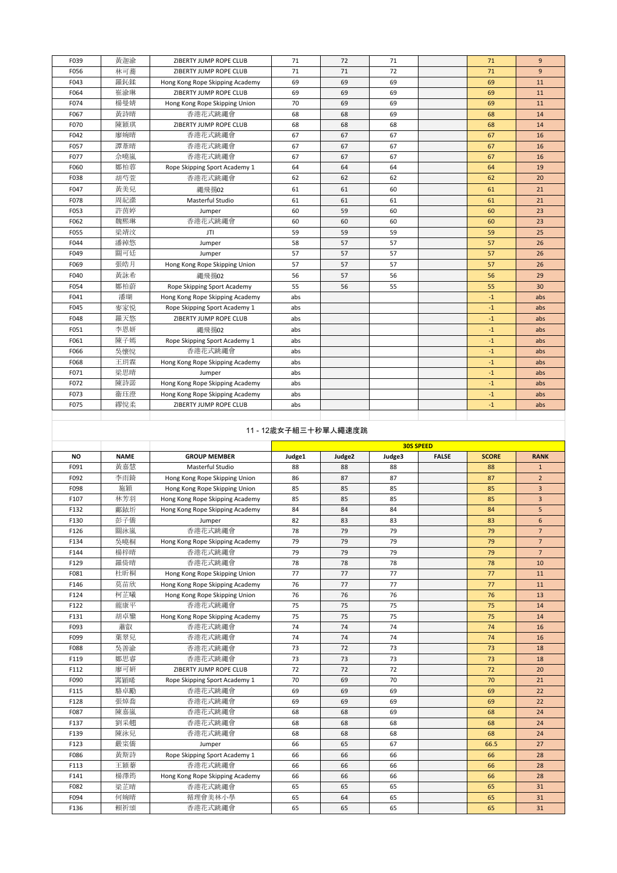| F039 | 黄迦渝 | ZIBERTY JUMP ROPE CLUB          | 71  | 72 | 71 | 71   | $\overline{9}$ |
|------|-----|---------------------------------|-----|----|----|------|----------------|
| F056 | 林可蓄 | ZIBERTY JUMP ROPE CLUB          | 71  | 71 | 72 | 71   | $\overline{9}$ |
| F043 | 羅鈊鍒 | Hong Kong Rope Skipping Academy | 69  | 69 | 69 | 69   | 11             |
| F064 | 崔渝琳 | ZIBERTY JUMP ROPE CLUB          | 69  | 69 | 69 | 69   | 11             |
| F074 | 楊曼婧 | Hong Kong Rope Skipping Union   | 70  | 69 | 69 | 69   | 11             |
| F067 | 黄詩晴 | 香港花式跳繩會                         | 68  | 68 | 69 | 68   | 14             |
| F070 | 陳穎琪 | ZIBERTY JUMP ROPE CLUB          | 68  | 68 | 68 | 68   | 14             |
| F042 | 廖婉晴 | 香港花式跳繩會                         | 67  | 67 | 67 | 67   | 16             |
| F057 | 譚葦晴 | 香港花式跳繩會                         | 67  | 67 | 67 | 67   | 16             |
| F077 | 佘曉嵐 | 香港花式跳繩會                         | 67  | 67 | 67 | 67   | 16             |
| F060 | 鄭柏蓉 | Rope Skipping Sport Academy 1   | 64  | 64 | 64 | 64   | 19             |
| F038 | 胡芍萱 | 香港花式跳繩會                         | 62  | 62 | 62 | 62   | 20             |
| F047 | 黃美兒 | 繩飛揚02                           | 61  | 61 | 60 | 61   | 21             |
| F078 | 周紀瀠 | Masterful Studio                | 61  | 61 | 61 | 61   | 21             |
| F053 | 許茵婷 | Jumper                          | 60  | 59 | 60 | 60   | 23             |
| F062 | 魏熙琳 | 香港花式跳繩會                         | 60  | 60 | 60 | 60   | 23             |
| F055 | 梁靖汶 | JTI                             | 59  | 59 | 59 | 59   | 25             |
| F044 | 潘綽悠 | Jumper                          | 58  | 57 | 57 | 57   | 26             |
| F049 | 關可廷 | Jumper                          | 57  | 57 | 57 | 57   | 26             |
| F069 | 張皓月 | Hong Kong Rope Skipping Union   | 57  | 57 | 57 | 57   | 26             |
| F040 | 黄詠希 | 繩飛揚02                           | 56  | 57 | 56 | 56   | 29             |
| F054 | 鄭柏蔚 | Rope Skipping Sport Academy     | 55  | 56 | 55 | 55   | 30             |
| F041 | 潘瑚  | Hong Kong Rope Skipping Academy | abs |    |    | $-1$ | abs            |
| F045 | 麥家悦 | Rope Skipping Sport Academy 1   | abs |    |    | $-1$ | abs            |
| F048 | 羅天悠 | ZIBERTY JUMP ROPE CLUB          | abs |    |    | $-1$ | abs            |
| F051 | 李恩妍 | 繩飛揚02                           | abs |    |    | $-1$ | abs            |
| F061 | 陳子嫣 | Rope Skipping Sport Academy 1   | abs |    |    | $-1$ | abs            |
| F066 | 吳懷悅 | 香港花式跳繩會                         | abs |    |    | $-1$ | abs            |
| F068 | 王玥霖 | Hong Kong Rope Skipping Academy | abs |    |    | $-1$ | abs            |
| F071 | 梁思晴 | Jumper                          | abs |    |    | $-1$ | abs            |
| F072 | 陳詩諾 | Hong Kong Rope Skipping Academy | abs |    |    | $-1$ | abs            |
| F073 | 衞珏澄 | Hong Kong Rope Skipping Academy | abs |    |    | $-1$ | abs            |
| F075 | 繆悅柔 | ZIBERTY JUMP ROPE CLUB          | abs |    |    | $-1$ | abs            |
|      |     |                                 |     |    |    |      |                |

# 11 - 12歲女子組三十秒單人繩速度跳

|           |             |                                 | <b>30S SPEED</b> |        |        |              |              |                 |
|-----------|-------------|---------------------------------|------------------|--------|--------|--------------|--------------|-----------------|
| <b>NO</b> | <b>NAME</b> | <b>GROUP MEMBER</b>             | Judge1           | Judge2 | Judge3 | <b>FALSE</b> | <b>SCORE</b> | <b>RANK</b>     |
| F091      | 黃嘉慧         | Masterful Studio                | 88               | 88     | 88     |              | 88           | $\mathbf{1}$    |
| F092      | 李雨錡         | Hong Kong Rope Skipping Union   | 86               | 87     | 87     |              | 87           | $\overline{2}$  |
| F098      | 施穎          | Hong Kong Rope Skipping Union   | 85               | 85     | 85     |              | 85           | $\overline{3}$  |
| F107      | 林芳羽         | Hong Kong Rope Skipping Academy | 85               | 85     | 85     |              | 85           | $\overline{3}$  |
| F132      | 鄺銥圻         | Hong Kong Rope Skipping Academy | 84               | 84     | 84     |              | 84           | 5               |
| F130      | 彭子僑         | Jumper                          | 82               | 83     | 83     |              | 83           | 6               |
| F126      | 關泳嵐         | 香港花式跳繩會                         | 78               | 79     | 79     |              | 79           | $\overline{7}$  |
| F134      | 吳曉桐         | Hong Kong Rope Skipping Academy | 79               | 79     | 79     |              | 79           | $7\overline{ }$ |
| F144      | 楊梓晴         | 香港花式跳繩會                         | 79               | 79     | 79     |              | 79           | $\overline{7}$  |
| F129      | 羅倚睛         | 香港花式跳繩會                         | 78               | 78     | 78     |              | 78           | 10              |
| F081      | 杜昕桐         | Hong Kong Rope Skipping Union   | 77               | 77     | 77     |              | 77           | 11              |
| F146      | 莫苗欣         | Hong Kong Rope Skipping Academy | 76               | 77     | 77     |              | 77           | 11              |
| F124      | 柯芷曦         | Hong Kong Rope Skipping Union   | 76               | 76     | 76     |              | 76           | 13              |
| F122      | 龍康平         | 香港花式跳繩會                         | 75               | 75     | 75     |              | 75           | 14              |
| F131      | 胡卓鑾         | Hong Kong Rope Skipping Academy | 75               | 75     | 75     |              | 75           | 14              |
| F093      | 蕭叡          | 香港花式跳繩會                         | 74               | 74     | 74     |              | 74           | 16              |
| F099      | 葉翠兒         | 香港花式跳繩會                         | 74               | 74     | 74     |              | 74           | 16              |
| F088      | 吳善渝         | 香港花式跳繩會                         | 73               | 72     | 73     |              | 73           | 18              |
| F119      | 鄭思睿         | 香港花式跳繩會                         | 73               | 73     | 73     |              | 73           | 18              |
| F112      | 廖可妍         | ZIBERTY JUMP ROPE CLUB          | 72               | 72     | 72     |              | 72           | 20              |
| F090      | 窜穎晞         | Rope Skipping Sport Academy 1   | 70               | 69     | 70     |              | 70           | 21              |
| F115      | 駱卓勵         | 香港花式跳繩會                         | 69               | 69     | 69     |              | 69           | 22              |
| F128      | 張焯喬         | 香港花式跳繩會                         | 69               | 69     | 69     |              | 69           | 22              |
| F087      | 陳嘉嵐         | 香港花式跳繩會                         | 68               | 68     | 69     |              | 68           | 24              |
| F137      | 劉采翿         | 香港花式跳繩會                         | 68               | 68     | 68     |              | 68           | 24              |
| F139      | 陳泳兒         | 香港花式跳繩會                         | 68               | 68     | 68     |              | 68           | 24              |
| F123      | 嚴寀僑         | Jumper                          | 66               | 65     | 67     |              | 66.5         | 27              |
| F086      | 黄斯詩         | Rope Skipping Sport Academy 1   | 66               | 66     | 66     |              | 66           | 28              |
| F113      | 王穎蓁         | 香港花式跳繩會                         | 66               | 66     | 66     |              | 66           | 28              |
| F141      | 楊澤筠         | Hong Kong Rope Skipping Academy | 66               | 66     | 66     |              | 66           | 28              |
| F082      | 梁芷晴         | 香港花式跳繩會                         | 65               | 65     | 65     |              | 65           | 31              |
| F094      | 何婉晴         | 循理會美林小學                         | 65               | 64     | 65     |              | 65           | 31              |
| F136      | 賴祈頌         | 香港花式跳繩會                         | 65               | 65     | 65     |              | 65           | 31              |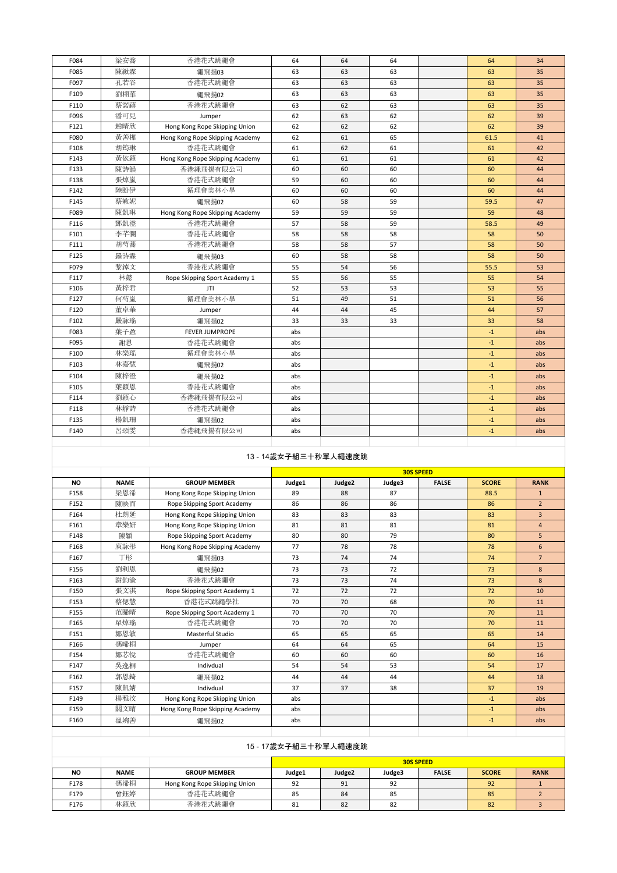| F084 | 梁安喬 | 香港花式跳繩會                         | 64  | 64 | 64 | 64   | 34  |
|------|-----|---------------------------------|-----|----|----|------|-----|
| F085 | 陳緻霖 | 繩飛揚03                           | 63  | 63 | 63 | 63   | 35  |
| F097 | 孔若谷 | 香港花式跳繩會                         | 63  | 63 | 63 | 63   | 35  |
| F109 | 劉栩華 | 繩飛揚02                           | 63  | 63 | 63 | 63   | 35  |
| F110 | 蔡諾禧 | 香港花式跳繩會                         | 63  | 62 | 63 | 63   | 35  |
| F096 | 潘可兒 | Jumper                          | 62  | 63 | 62 | 62   | 39  |
| F121 | 趙晴欣 | Hong Kong Rope Skipping Union   | 62  | 62 | 62 | 62   | 39  |
| F080 | 黃善樺 | Hong Kong Rope Skipping Academy | 62  | 61 | 65 | 61.5 | 41  |
| F108 | 胡筠琳 | 香港花式跳繩會                         | 61  | 62 | 61 | 61   | 42  |
| F143 | 黄依穎 | Hong Kong Rope Skipping Academy | 61  | 61 | 61 | 61   | 42  |
| F133 | 陳詩韻 | 香港繩飛揚有限公司                       | 60  | 60 | 60 | 60   | 44  |
| F138 | 張焯嵐 | 香港花式跳繩會                         | 59  | 60 | 60 | 60   | 44  |
| F142 | 陸盼伊 | 循理會美林小學                         | 60  | 60 | 60 | 60   | 44  |
| F145 | 蔡敏妮 | 繩飛揚02                           | 60  | 58 | 59 | 59.5 | 47  |
| F089 | 陳凱琳 | Hong Kong Rope Skipping Academy | 59  | 59 | 59 | 59   | 48  |
| F116 | 鄧凱澄 | 香港花式跳繩會                         | 57  | 58 | 59 | 58.5 | 49  |
| F101 | 李芊瀾 | 香港花式跳繩會                         | 58  | 58 | 58 | 58   | 50  |
| F111 | 胡芍蕃 | 香港花式跳繩會                         | 58  | 58 | 57 | 58   | 50  |
| F125 | 羅詩霖 | 繩飛揚03                           | 60  | 58 | 58 | 58   | 50  |
| F079 | 黎綽文 | 香港花式跳繩會                         | 55  | 54 | 56 | 55.5 | 53  |
| F117 | 林懿  | Rope Skipping Sport Academy 1   | 55  | 56 | 55 | 55   | 54  |
| F106 | 黄梓君 | JTI                             | 52  | 53 | 53 | 53   | 55  |
| F127 | 何芍嵐 | 循理會美林小學                         | 51  | 49 | 51 | 51   | 56  |
| F120 | 董卓華 | Jumper                          | 44  | 44 | 45 | 44   | 57  |
| F102 | 嚴詠瑤 | 繩飛揚02                           | 33  | 33 | 33 | 33   | 58  |
| F083 | 葉子盈 | <b>FEVER JUMPROPE</b>           | abs |    |    | $-1$ | abs |
| F095 | 謝恩  | 香港花式跳繩會                         | abs |    |    | $-1$ | abs |
| F100 | 林樂瑤 | 循理會美林小學                         | abs |    |    | $-1$ | abs |
| F103 | 林嘉慧 | 繩飛揚02                           | abs |    |    | $-1$ | abs |
| F104 | 陳梓澄 | 繩飛揚02                           | abs |    |    | $-1$ | abs |
| F105 | 葉穎恩 | 香港花式跳繩會                         | abs |    |    | $-1$ | abs |
| F114 | 劉穎心 | 香港繩飛揚有限公司                       | abs |    |    | $-1$ | abs |
| F118 | 林靜詩 | 香港花式跳繩會                         | abs |    |    | $-1$ | abs |
| F135 | 楊凱珊 | 繩飛揚02                           | abs |    |    | $-1$ | abs |
| F140 | 呂頌雯 | 香港繩飛揚有限公司                       | abs |    |    | $-1$ | abs |
|      |     |                                 |     |    |    |      |     |

# 13 - 14歲女子組三十秒單人繩速度跳

|           |             |                                 |        |                    | <b>30S SPEED</b> |              |              |                 |
|-----------|-------------|---------------------------------|--------|--------------------|------------------|--------------|--------------|-----------------|
| <b>NO</b> | <b>NAME</b> | <b>GROUP MEMBER</b>             | Judge1 | Judge <sub>2</sub> | Judge3           | <b>FALSE</b> | <b>SCORE</b> | <b>RANK</b>     |
| F158      | 梁恩浠         | Hong Kong Rope Skipping Union   | 89     | 88                 | 87               |              | 88.5         | $\mathbf{1}$    |
| F152      | 陳映而         | Rope Skipping Sport Academy     | 86     | 86                 | 86               |              | 86           | $\overline{2}$  |
| F164      | 杜朗延         | Hong Kong Rope Skipping Union   | 83     | 83                 | 83               |              | 83           | $\overline{3}$  |
| F161      | 章樂妍         | Hong Kong Rope Skipping Union   | 81     | 81                 | 81               |              | 81           | $\overline{4}$  |
| F148      | 陳穎          | Rope Skipping Sport Academy     | 80     | 80                 | 79               |              | 80           | 5               |
| F168      | 庾詠彤         | Hong Kong Rope Skipping Academy | 77     | 78                 | 78               |              | 78           | 6               |
| F167      | 丁形          | 繩飛揚03                           | 73     | 74                 | 74               |              | 74           | $7\overline{ }$ |
| F156      | 劉利恩         | 繩飛揚02                           | 73     | 73                 | 72               |              | 73           | 8               |
| F163      | 謝鈞渝         | 香港花式跳繩會                         | 73     | 73                 | 74               |              | 73           | 8               |
| F150      | 張文淇         | Rope Skipping Sport Academy 1   | 72     | 72                 | 72               |              | 72           | 10              |
| F153      | 蔡偲慧         | 香港花式跳繩學社                        | 70     | 70                 | 68               |              | 70           | 11              |
| F155      | 范睎晴         | Rope Skipping Sport Academy 1   | 70     | 70                 | 70               |              | 70           | 11              |
| F165      | 單焯瑤         | 香港花式跳繩會                         | 70     | 70                 | 70               |              | 70           | 11              |
| F151      | 鄭恩敏         | Masterful Studio                | 65     | 65                 | 65               |              | 65           | 14              |
| F166      | 馮晞桐         | Jumper                          | 64     | 64                 | 65               |              | 64           | 15              |
| F154      | 鄭芯悅         | 香港花式跳繩會                         | 60     | 60                 | 60               |              | 60           | 16              |
| F147      | 吳逸桐         | Indivdual                       | 54     | 54                 | 53               |              | 54           | 17              |
| F162      | 郭恩錡         | 繩飛揚02                           | 44     | 44                 | 44               |              | 44           | 18              |
| F157      | 陳凱婧         | Indivdual                       | 37     | 37                 | 38               |              | 37           | 19              |
| F149      | 楊雅汶         | Hong Kong Rope Skipping Union   | abs    |                    |                  |              | $-1$         | abs             |
| F159      | 關文晴         | Hong Kong Rope Skipping Academy | abs    |                    |                  |              | $-1$         | abs             |
| F160      | 溫婉善         | 繩飛揚02                           | abs    |                    |                  |              | $-1$         | abs             |
|           |             |                                 |        |                    |                  |              |              |                 |

|      | 15 - 1/威女士組二十秒里人繩迷度跳 |                               |                                                                           |    |    |  |    |  |  |  |
|------|----------------------|-------------------------------|---------------------------------------------------------------------------|----|----|--|----|--|--|--|
|      |                      |                               | <b>30S SPEED</b>                                                          |    |    |  |    |  |  |  |
| ΝO   | <b>NAME</b>          | <b>GROUP MEMBER</b>           | Judge2<br>Judge1<br><b>RANK</b><br><b>FALSE</b><br><b>SCORE</b><br>Judge3 |    |    |  |    |  |  |  |
| F178 | 馮浠桐                  | Hong Kong Rope Skipping Union | 92                                                                        | 91 | 92 |  | 92 |  |  |  |
| F179 | 曾鈺婷                  | 香港花式跳繩會                       | 85                                                                        | 84 | 85 |  | 85 |  |  |  |
| F176 | 林穎欣                  | 香港花式跳繩會                       | 81                                                                        | 82 | 82 |  | 82 |  |  |  |

# 15 - 17歲女子組三十秒單人繩速度跳